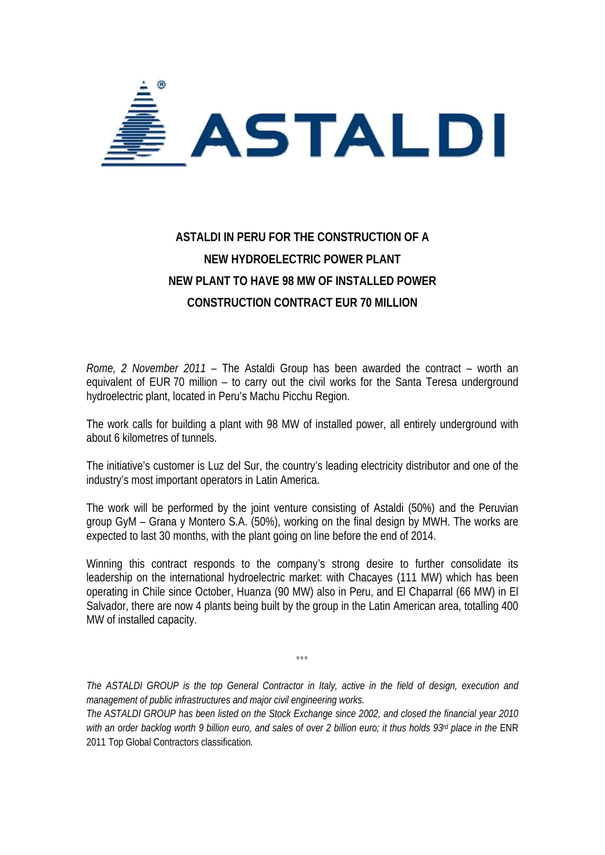

## **ASTALDI IN PERU FOR THE CONSTRUCTION OF A NEW HYDROELECTRIC POWER PLANT NEW PLANT TO HAVE 98 MW OF INSTALLED POWER CONSTRUCTION CONTRACT EUR 70 MILLION**

*Rome, 2 November 2011* – The Astaldi Group has been awarded the contract – worth an equivalent of EUR 70 million – to carry out the civil works for the Santa Teresa underground hydroelectric plant, located in Peru's Machu Picchu Region.

The work calls for building a plant with 98 MW of installed power, all entirely underground with about 6 kilometres of tunnels.

The initiative's customer is Luz del Sur, the country's leading electricity distributor and one of the industry's most important operators in Latin America.

The work will be performed by the joint venture consisting of Astaldi (50%) and the Peruvian group GyM – Grana y Montero S.A. (50%), working on the final design by MWH. The works are expected to last 30 months, with the plant going on line before the end of 2014.

Winning this contract responds to the company's strong desire to further consolidate its leadership on the international hydroelectric market: with Chacayes (111 MW) which has been operating in Chile since October, Huanza (90 MW) also in Peru, and El Chaparral (66 MW) in El Salvador, there are now 4 plants being built by the group in the Latin American area, totalling 400 MW of installed capacity.

*The ASTALDI GROUP is the top General Contractor in Italy, active in the field of design, execution and management of public infrastructures and major civil engineering works.* 

 $000$ 

*The ASTALDI GROUP has been listed on the Stock Exchange since 2002, and closed the financial year 2010*  with an order backlog worth 9 billion euro, and sales of over 2 billion euro; it thus holds 93<sup>rd</sup> place in the ENR 2011 Top Global Contractors classification*.*